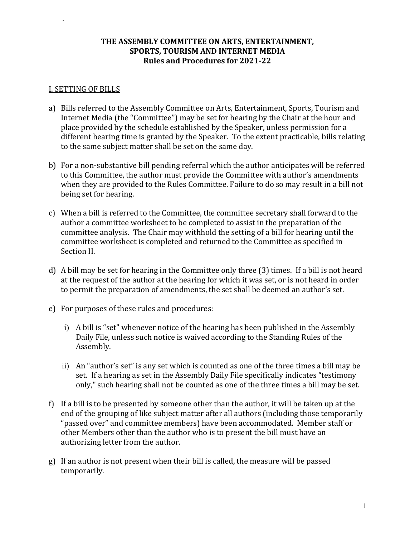### **THE ASSEMBLY COMMITTEE ON ARTS, ENTERTAINMENT, SPORTS, TOURISM AND INTERNET MEDIA Rules and Procedures for 2021-22**

#### I. SETTING OF BILLS

*.*

- a) Bills referred to the Assembly Committee on Arts, Entertainment, Sports, Tourism and Internet Media (the "Committee") may be set for hearing by the Chair at the hour and place provided by the schedule established by the Speaker, unless permission for a different hearing time is granted by the Speaker. To the extent practicable, bills relating to the same subject matter shall be set on the same day.
- b) For a non-substantive bill pending referral which the author anticipates will be referred to this Committee, the author must provide the Committee with author's amendments when they are provided to the Rules Committee. Failure to do so may result in a bill not being set for hearing.
- c) When a bill is referred to the Committee, the committee secretary shall forward to the author a committee worksheet to be completed to assist in the preparation of the committee analysis. The Chair may withhold the setting of a bill for hearing until the committee worksheet is completed and returned to the Committee as specified in Section II.
- d) A bill may be set for hearing in the Committee only three (3) times. If a bill is not heard at the request of the author at the hearing for which it was set, or is not heard in order to permit the preparation of amendments, the set shall be deemed an author's set.
- e) For purposes of these rules and procedures:
	- i) A bill is "set" whenever notice of the hearing has been published in the Assembly Daily File, unless such notice is waived according to the Standing Rules of the Assembly.
	- ii) An "author's set" is any set which is counted as one of the three times a bill may be set. If a hearing as set in the Assembly Daily File specifically indicates "testimony only," such hearing shall not be counted as one of the three times a bill may be set.
- f) If a bill is to be presented by someone other than the author, it will be taken up at the end of the grouping of like subject matter after all authors (including those temporarily "passed over" and committee members) have been accommodated. Member staff or other Members other than the author who is to present the bill must have an authorizing letter from the author.
- g) If an author is not present when their bill is called, the measure will be passed temporarily.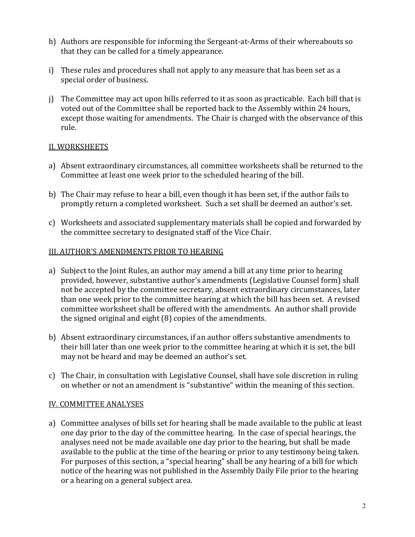- h) Authors are responsible for informing the Sergeant-at-Arms of their whereabouts so that they can be called for a timely appearance.
- i) These rules and procedures shall not apply to any measure that has been set as a special order of business.
- j) The Committee may act upon bills referred to it as soon as practicable. Each bill that is voted out of the Committee shall be reported back to the Assembly within 24 hours, except those waiting for amendments. The Chair is charged with the observance of this rule.

### II. WORKSHEETS

- a) Absent extraordinary circumstances, all committee worksheets shall be returned to the Committee at least one week prior to the scheduled hearing of the bill.
- b) The Chair may refuse to hear a bill, even though it has been set, if the author fails to promptly return a completed worksheet. Such a set shall be deemed an author's set.
- c) Worksheets and associated supplementary materials shall be copied and forwarded by the committee secretary to designated staff of the Vice Chair.

## III. AUTHOR'S AMENDMENTS PRIOR TO HEARING

- a) Subject to the Joint Rules, an author may amend a bill at any time prior to hearing provided, however, substantive author's amendments (Legislative Counsel form) shall not be accepted by the committee secretary, absent extraordinary circumstances, later than one week prior to the committee hearing at which the bill has been set. A revised committee worksheet shall be offered with the amendments. An author shall provide the signed original and eight (8) copies of the amendments.
- b) Absent extraordinary circumstances, if an author offers substantive amendments to their bill later than one week prior to the committee hearing at which it is set, the bill may not be heard and may be deemed an author's set.
- c) The Chair, in consultation with Legislative Counsel, shall have sole discretion in ruling on whether or not an amendment is "substantive" within the meaning of this section.

### IV. COMMITTEE ANALYSES

a) Committee analyses of bills set for hearing shall be made available to the public at least one day prior to the day of the committee hearing. In the case of special hearings, the analyses need not be made available one day prior to the hearing, but shall be made available to the public at the time of the hearing or prior to any testimony being taken. For purposes of this section, a "special hearing" shall be any hearing of a bill for which notice of the hearing was not published in the Assembly Daily File prior to the hearing or a hearing on a general subject area.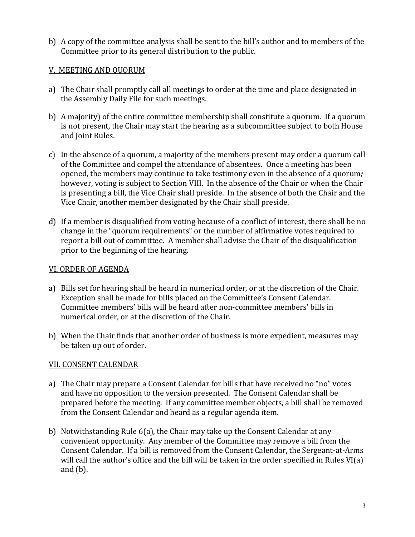b) A copy of the committee analysis shall be sent to the bill's author and to members of the Committee prior to its general distribution to the public.

## V. MEETING AND QUORUM

- a) The Chair shall promptly call all meetings to order at the time and place designated in the Assembly Daily File for such meetings.
- b) A majority) of the entire committee membership shall constitute a quorum. If a quorum is not present, the Chair may start the hearing as a subcommittee subject to both House and Joint Rules.
- c) In the absence of a quorum, a majority of the members present may order a quorum call of the Committee and compel the attendance of absentees. Once a meeting has been opened, the members may continue to take testimony even in the absence of a quorum*;* however, voting is subject to Section VIII. In the absence of the Chair or when the Chair is presenting a bill, the Vice Chair shall preside. In the absence of both the Chair and the Vice Chair, another member designated by the Chair shall preside.
- d) If a member is disqualified from voting because of a conflict of interest, there shall be no change in the "quorum requirements" or the number of affirmative votes required to report a bill out of committee. A member shall advise the Chair of the disqualification prior to the beginning of the hearing.

### VI. ORDER OF AGENDA

- a) Bills set for hearing shall be heard in numerical order, or at the discretion of the Chair. Exception shall be made for bills placed on the Committee's Consent Calendar. Committee members' bills will be heard after non-committee members' bills in numerical order, or at the discretion of the Chair.
- b) When the Chair finds that another order of business is more expedient, measures may be taken up out of order.

# VII. CONSENT CALENDAR

- a) The Chair may prepare a Consent Calendar for bills that have received no "no" votes and have no opposition to the version presented. The Consent Calendar shall be prepared before the meeting. If any committee member objects, a bill shall be removed from the Consent Calendar and heard as a regular agenda item.
- b) Notwithstanding Rule 6(a), the Chair may take up the Consent Calendar at any convenient opportunity. Any member of the Committee may remove a bill from the Consent Calendar. If a bill is removed from the Consent Calendar, the Sergeant-at-Arms will call the author's office and the bill will be taken in the order specified in Rules VI(a) and  $(b)$ .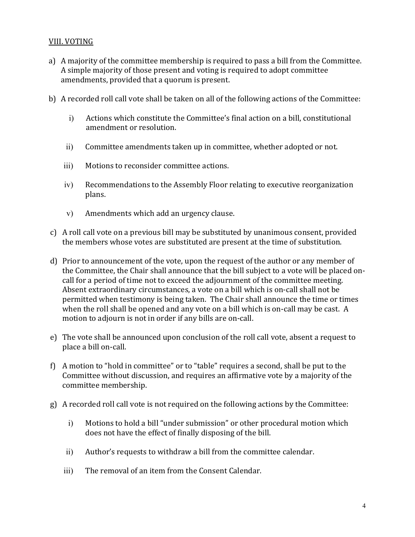## VIII. VOTING

- a) A majority of the committee membership is required to pass a bill from the Committee. A simple majority of those present and voting is required to adopt committee amendments, provided that a quorum is present.
- b) A recorded roll call vote shall be taken on all of the following actions of the Committee:
	- i) Actions which constitute the Committee's final action on a bill, constitutional amendment or resolution.
	- ii) Committee amendments taken up in committee, whether adopted or not.
	- iii) Motions to reconsider committee actions.
	- iv) Recommendations to the Assembly Floor relating to executive reorganization plans.
	- v) Amendments which add an urgency clause.
- c) A roll call vote on a previous bill may be substituted by unanimous consent, provided the members whose votes are substituted are present at the time of substitution.
- d) Prior to announcement of the vote, upon the request of the author or any member of the Committee, the Chair shall announce that the bill subject to a vote will be placed oncall for a period of time not to exceed the adjournment of the committee meeting. Absent extraordinary circumstances, a vote on a bill which is on-call shall not be permitted when testimony is being taken. The Chair shall announce the time or times when the roll shall be opened and any vote on a bill which is on-call may be cast. A motion to adjourn is not in order if any bills are on-call.
- e) The vote shall be announced upon conclusion of the roll call vote, absent a request to place a bill on-call.
- f) A motion to "hold in committee" or to "table" requires a second, shall be put to the Committee without discussion, and requires an affirmative vote by a majority of the committee membership.
- g) A recorded roll call vote is not required on the following actions by the Committee:
	- i) Motions to hold a bill "under submission" or other procedural motion which does not have the effect of finally disposing of the bill.
	- ii) Author's requests to withdraw a bill from the committee calendar.
	- iii) The removal of an item from the Consent Calendar.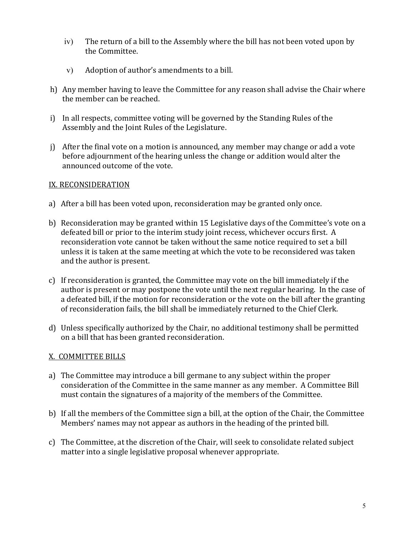- iv) The return of a bill to the Assembly where the bill has not been voted upon by the Committee.
- v) Adoption of author's amendments to a bill.
- h) Any member having to leave the Committee for any reason shall advise the Chair where the member can be reached.
- i) In all respects, committee voting will be governed by the Standing Rules of the Assembly and the Joint Rules of the Legislature.
- j) After the final vote on a motion is announced, any member may change or add a vote before adjournment of the hearing unless the change or addition would alter the announced outcome of the vote.

### IX. RECONSIDERATION

- a) After a bill has been voted upon, reconsideration may be granted only once.
- b) Reconsideration may be granted within 15 Legislative days of the Committee's vote on a defeated bill or prior to the interim study joint recess, whichever occurs first. A reconsideration vote cannot be taken without the same notice required to set a bill unless it is taken at the same meeting at which the vote to be reconsidered was taken and the author is present.
- c) If reconsideration is granted, the Committee may vote on the bill immediately if the author is present or may postpone the vote until the next regular hearing. In the case of a defeated bill, if the motion for reconsideration or the vote on the bill after the granting of reconsideration fails, the bill shall be immediately returned to the Chief Clerk.
- d) Unless specifically authorized by the Chair, no additional testimony shall be permitted on a bill that has been granted reconsideration.

# X. COMMITTEE BILLS

- a) The Committee may introduce a bill germane to any subject within the proper consideration of the Committee in the same manner as any member. A Committee Bill must contain the signatures of a majority of the members of the Committee.
- b) If all the members of the Committee sign a bill, at the option of the Chair, the Committee Members' names may not appear as authors in the heading of the printed bill.
- c) The Committee, at the discretion of the Chair, will seek to consolidate related subject matter into a single legislative proposal whenever appropriate.